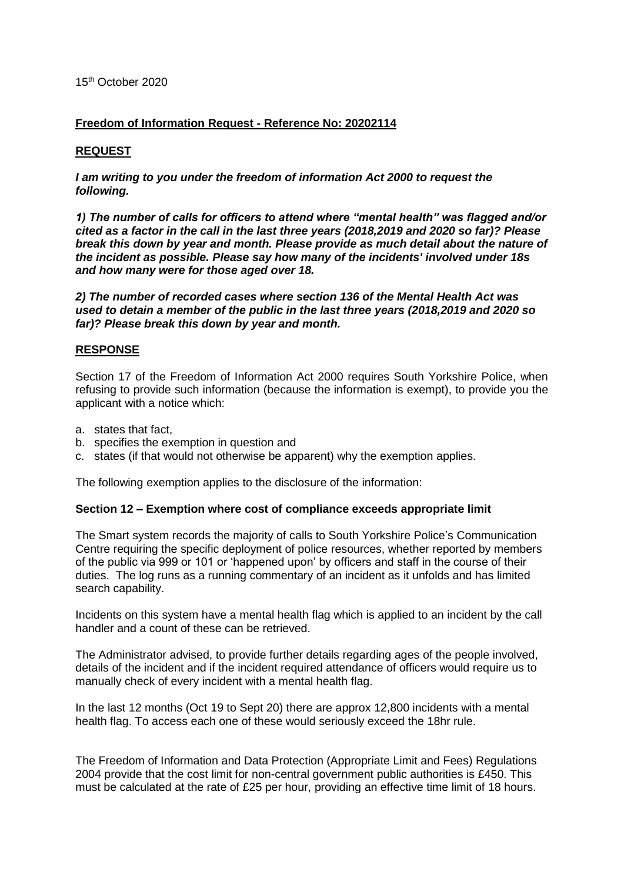### 15th October 2020

## **Freedom of Information Request - Reference No: 20202114**

## **REQUEST**

*I am writing to you under the freedom of information Act 2000 to request the following.*

*1) The number of calls for officers to attend where "mental health" was flagged and/or cited as a factor in the call in the last three years (2018,2019 and 2020 so far)? Please break this down by year and month. Please provide as much detail about the nature of the incident as possible. Please say how many of the incidents' involved under 18s and how many were for those aged over 18.*

*2) The number of recorded cases where section 136 of the Mental Health Act was used to detain a member of the public in the last three years (2018,2019 and 2020 so far)? Please break this down by year and month.*

### **RESPONSE**

Section 17 of the Freedom of Information Act 2000 requires South Yorkshire Police, when refusing to provide such information (because the information is exempt), to provide you the applicant with a notice which:

- a. states that fact,
- b. specifies the exemption in question and
- c. states (if that would not otherwise be apparent) why the exemption applies.

The following exemption applies to the disclosure of the information:

#### **Section 12 – Exemption where cost of compliance exceeds appropriate limit**

The Smart system records the majority of calls to South Yorkshire Police's Communication Centre requiring the specific deployment of police resources, whether reported by members of the public via 999 or 101 or 'happened upon' by officers and staff in the course of their duties. The log runs as a running commentary of an incident as it unfolds and has limited search capability.

Incidents on this system have a mental health flag which is applied to an incident by the call handler and a count of these can be retrieved.

The Administrator advised, to provide further details regarding ages of the people involved, details of the incident and if the incident required attendance of officers would require us to manually check of every incident with a mental health flag.

In the last 12 months (Oct 19 to Sept 20) there are approx 12,800 incidents with a mental health flag. To access each one of these would seriously exceed the 18hr rule.

The Freedom of Information and Data Protection (Appropriate Limit and Fees) Regulations 2004 provide that the cost limit for non-central government public authorities is £450. This must be calculated at the rate of £25 per hour, providing an effective time limit of 18 hours.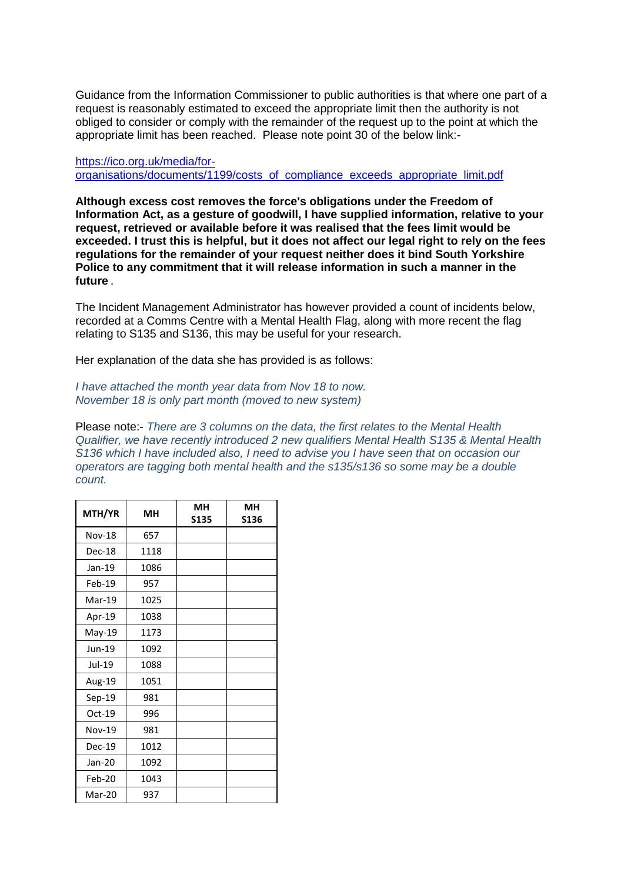Guidance from the Information Commissioner to public authorities is that where one part of a request is reasonably estimated to exceed the appropriate limit then the authority is not obliged to consider or comply with the remainder of the request up to the point at which the appropriate limit has been reached. Please note point 30 of the below link:-

[https://ico.org.uk/media/for](https://ico.org.uk/media/for-organisations/documents/1199/costs_of_compliance_exceeds_appropriate_limit.pdf)[organisations/documents/1199/costs\\_of\\_compliance\\_exceeds\\_appropriate\\_limit.pdf](https://ico.org.uk/media/for-organisations/documents/1199/costs_of_compliance_exceeds_appropriate_limit.pdf)

**Although excess cost removes the force's obligations under the Freedom of Information Act, as a gesture of goodwill, I have supplied information, relative to your request, retrieved or available before it was realised that the fees limit would be exceeded. I trust this is helpful, but it does not affect our legal right to rely on the fees regulations for the remainder of your request neither does it bind South Yorkshire Police to any commitment that it will release information in such a manner in the future** *.*

The Incident Management Administrator has however provided a count of incidents below, recorded at a Comms Centre with a Mental Health Flag, along with more recent the flag relating to S135 and S136, this may be useful for your research.

Her explanation of the data she has provided is as follows:

*I have attached the month year data from Nov 18 to now. November 18 is only part month (moved to new system)* 

Please note:- *There are 3 columns on the data, the first relates to the Mental Health Qualifier, we have recently introduced 2 new qualifiers Mental Health S135 & Mental Health S136 which I have included also, I need to advise you I have seen that on occasion our operators are tagging both mental health and the s135/s136 so some may be a double count.* 

| MTH/YR        | мн   | MН          | MН          |
|---------------|------|-------------|-------------|
|               |      | <b>S135</b> | <b>S136</b> |
| <b>Nov-18</b> | 657  |             |             |
| Dec-18        | 1118 |             |             |
| Jan-19        | 1086 |             |             |
| $Feb-19$      | 957  |             |             |
| $Mar-19$      | 1025 |             |             |
| Apr-19        | 1038 |             |             |
| May-19        | 1173 |             |             |
| Jun-19        | 1092 |             |             |
| Jul-19        | 1088 |             |             |
| Aug-19        | 1051 |             |             |
| Sep-19        | 981  |             |             |
| Oct-19        | 996  |             |             |
| Nov-19        | 981  |             |             |
| Dec-19        | 1012 |             |             |
| Jan-20        | 1092 |             |             |
| Feb-20        | 1043 |             |             |
| Mar-20        | 937  |             |             |